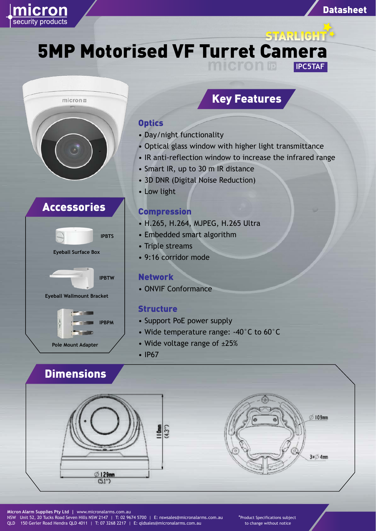

**5MP Motorised VF Turret Camera IPC5TAF**



# Accessories



## Key Features

Datasheet

### **Optics**

- Day/night functionality
- Optical glass window with higher light transmittance
- IR anti-reflection window to increase the infrared range
- Smart IR, up to 30 m IR distance
- 3D DNR (Digital Noise Reduction)
- Low light

#### Compression

- H.265, H.264, MJPEG, H.265 Ultra
- Embedded smart algorithm
- Triple streams
- 9:16 corridor mode

#### **Network**

• ONVIF Conformance

#### **Structure**

- Support PoE power supply
- Wide temperature range: -40°C to 60°C
- Wide voltage range of ±25%
- IP67

# **Dimensions**





\*Product Specifications subject to change without notice